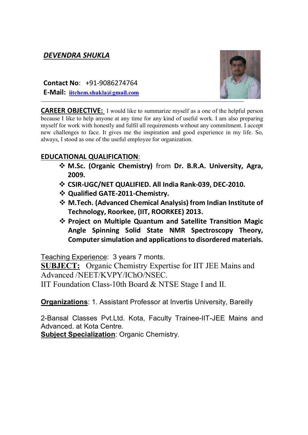# *DEVENDRA SHUKLA*

**Contact No**:+91-9086274764 **E-Mail: [iitchem.shukla@gmail.com](mailto:iitchem.shukla@gmail.com)** 



**CAREER OBJECTIVE:** I would like to summarize myself as a one of the helpful person because I like to help anyone at any time for any kind of useful work. I am also preparing myself for work with honestly and fulfil all requirements without any commitment. I accept new challenges to face. It gives me the inspiration and good experience in my life. So, always, I stood as one of the useful employee for organization.

### **EDUCATIONAL QUALIFICATION**:

- **M.Sc. (Organic Chemistry)** from **Dr. B.R.A. University, Agra, 2009.**
- **CSIR-UGC/NET QUALIFIED. All India Rank-039, DEC-2010.**
- **Qualified GATE-2011-Chemistry.**
- **M.Tech. (Advanced Chemical Analysis) from Indian Institute of Technology, Roorkee, (IIT, ROORKEE) 2013.**
- **Project on Multiple Quantum and Satellite Transition Magic Angle Spinning Solid State NMR Spectroscopy Theory, Computer simulation and applications to disordered materials.**

Teaching Experience: 3 years 7 monts.

**SUBJECT:** Organic Chemistry Expertise for IIT JEE Mains and Advanced /NEET/KVPY/IChO/NSEC.

IIT Foundation Class-10th Board & NTSE Stage I and II.

**Organizations: 1. Assistant Professor at Invertis University, Bareilly** 

2-Bansal Classes Pvt.Ltd. Kota, Faculty Trainee-IIT-JEE Mains and Advanced. at Kota Centre.

**Subject Specialization**: Organic Chemistry.